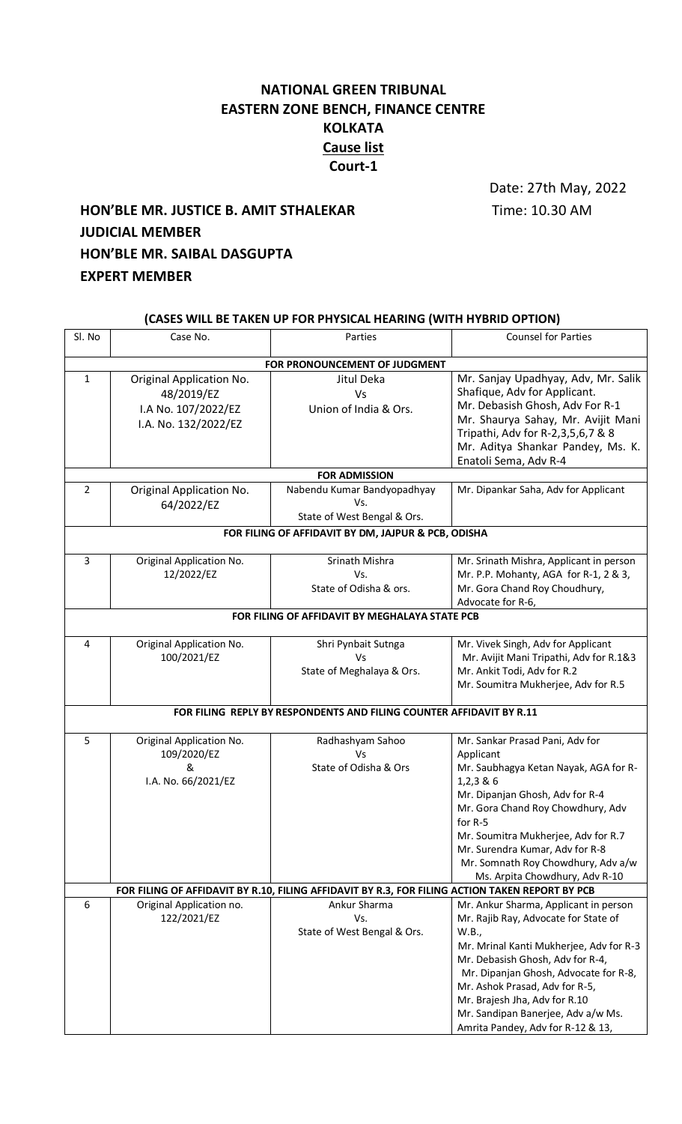## **NATIONAL GREEN TRIBUNAL EASTERN ZONE BENCH, FINANCE CENTRE KOLKATA Cause list Court-1**

Date: 27th May, 2022

# **HON'BLE MR. JUSTICE B. AMIT STHALEKAR** Time: 10.30 AM **JUDICIAL MEMBER HON'BLE MR. SAIBAL DASGUPTA EXPERT MEMBER**

| (CASES WILL BE TAKEN UP FOR PHYSICAL HEARING (WITH HYBRID OPTION)                               |                                                                                       |                                                                   |                                                                                                                                                                                                                                                                                                                                                              |  |  |
|-------------------------------------------------------------------------------------------------|---------------------------------------------------------------------------------------|-------------------------------------------------------------------|--------------------------------------------------------------------------------------------------------------------------------------------------------------------------------------------------------------------------------------------------------------------------------------------------------------------------------------------------------------|--|--|
| Sl. No                                                                                          | Case No.                                                                              | Parties                                                           | <b>Counsel for Parties</b>                                                                                                                                                                                                                                                                                                                                   |  |  |
| FOR PRONOUNCEMENT OF JUDGMENT                                                                   |                                                                                       |                                                                   |                                                                                                                                                                                                                                                                                                                                                              |  |  |
| 1                                                                                               | Original Application No.<br>48/2019/EZ<br>I.A No. 107/2022/EZ<br>I.A. No. 132/2022/EZ | Jitul Deka<br>Vs<br>Union of India & Ors.                         | Mr. Sanjay Upadhyay, Adv, Mr. Salik<br>Shafique, Adv for Applicant.<br>Mr. Debasish Ghosh, Adv For R-1<br>Mr. Shaurya Sahay, Mr. Avijit Mani<br>Tripathi, Adv for R-2,3,5,6,7 & 8<br>Mr. Aditya Shankar Pandey, Ms. K.<br>Enatoli Sema, Adv R-4                                                                                                              |  |  |
| <b>FOR ADMISSION</b>                                                                            |                                                                                       |                                                                   |                                                                                                                                                                                                                                                                                                                                                              |  |  |
| $\overline{2}$                                                                                  | Original Application No.<br>64/2022/EZ                                                | Nabendu Kumar Bandyopadhyay<br>Vs.<br>State of West Bengal & Ors. | Mr. Dipankar Saha, Adv for Applicant                                                                                                                                                                                                                                                                                                                         |  |  |
| FOR FILING OF AFFIDAVIT BY DM, JAJPUR & PCB, ODISHA                                             |                                                                                       |                                                                   |                                                                                                                                                                                                                                                                                                                                                              |  |  |
| 3                                                                                               | Original Application No.<br>12/2022/EZ                                                | Srinath Mishra<br>Vs.<br>State of Odisha & ors.                   | Mr. Srinath Mishra, Applicant in person<br>Mr. P.P. Mohanty, AGA for R-1, 2 & 3,<br>Mr. Gora Chand Roy Choudhury,<br>Advocate for R-6,                                                                                                                                                                                                                       |  |  |
| FOR FILING OF AFFIDAVIT BY MEGHALAYA STATE PCB                                                  |                                                                                       |                                                                   |                                                                                                                                                                                                                                                                                                                                                              |  |  |
| 4                                                                                               | Original Application No.<br>100/2021/EZ                                               | Shri Pynbait Sutnga<br>Vs<br>State of Meghalaya & Ors.            | Mr. Vivek Singh, Adv for Applicant<br>Mr. Avijit Mani Tripathi, Adv for R.1&3<br>Mr. Ankit Todi, Adv for R.2<br>Mr. Soumitra Mukherjee, Adv for R.5                                                                                                                                                                                                          |  |  |
| FOR FILING REPLY BY RESPONDENTS AND FILING COUNTER AFFIDAVIT BY R.11                            |                                                                                       |                                                                   |                                                                                                                                                                                                                                                                                                                                                              |  |  |
| 5                                                                                               | Original Application No.<br>109/2020/EZ<br>&<br>I.A. No. 66/2021/EZ                   | Radhashyam Sahoo<br>Vs<br>State of Odisha & Ors                   | Mr. Sankar Prasad Pani, Adv for<br>Applicant<br>Mr. Saubhagya Ketan Nayak, AGA for R-<br>1,2,386<br>Mr. Dipanjan Ghosh, Adv for R-4<br>Mr. Gora Chand Roy Chowdhury, Adv<br>for R-5<br>Mr. Soumitra Mukherjee, Adv for R.7<br>Mr. Surendra Kumar, Adv for R-8<br>Mr. Somnath Roy Chowdhury, Adv a/w<br>Ms. Arpita Chowdhury, Adv R-10                        |  |  |
| FOR FILING OF AFFIDAVIT BY R.10, FILING AFFIDAVIT BY R.3, FOR FILING ACTION TAKEN REPORT BY PCB |                                                                                       |                                                                   |                                                                                                                                                                                                                                                                                                                                                              |  |  |
| 6                                                                                               | Original Application no.<br>122/2021/EZ                                               | Ankur Sharma<br>Vs.<br>State of West Bengal & Ors.                | Mr. Ankur Sharma, Applicant in person<br>Mr. Rajib Ray, Advocate for State of<br>W.B.,<br>Mr. Mrinal Kanti Mukherjee, Adv for R-3<br>Mr. Debasish Ghosh, Adv for R-4,<br>Mr. Dipanjan Ghosh, Advocate for R-8,<br>Mr. Ashok Prasad, Adv for R-5,<br>Mr. Brajesh Jha, Adv for R.10<br>Mr. Sandipan Banerjee, Adv a/w Ms.<br>Amrita Pandey, Adv for R-12 & 13, |  |  |